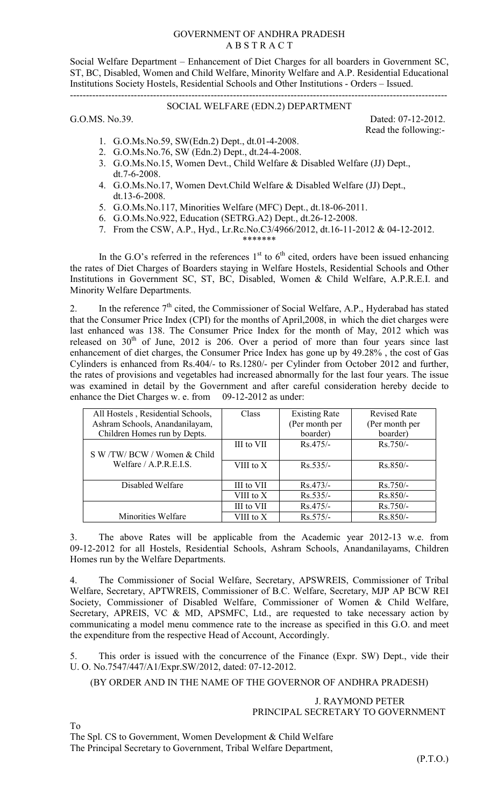## GOVERNMENT OF ANDHRA PRADESH A B S T R A C T

Social Welfare Department – Enhancement of Diet Charges for all boarders in Government SC, ST, BC, Disabled, Women and Child Welfare, Minority Welfare and A.P. Residential Educational Institutions Society Hostels, Residential Schools and Other Institutions - Orders – Issued. ----------------------------------------------------------------------------------------------------------------------

## SOCIAL WELFARE (EDN.2) DEPARTMENT

G.O.MS. No.39. Dated: 07-12-2012. Read the following:-

- 1. G.O.Ms.No.59, SW(Edn.2) Dept., dt.01-4-2008.
- 2. G.O.Ms.No.76, SW (Edn.2) Dept., dt.24-4-2008.
- 3. G.O.Ms.No.15, Women Devt., Child Welfare & Disabled Welfare (JJ) Dept., dt.7-6-2008.
- 4. G.O.Ms.No.17, Women Devt.Child Welfare & Disabled Welfare (JJ) Dept., dt.13-6-2008.
- 5. G.O.Ms.No.117, Minorities Welfare (MFC) Dept., dt.18-06-2011.
- 6. G.O.Ms.No.922, Education (SETRG.A2) Dept., dt.26-12-2008.
- 7. From the CSW, A.P., Hyd., Lr.Rc.No.C3/4966/2012, dt.16-11-2012 & 04-12-2012. \*\*\*\*\*\*\*

In the G.O's referred in the references  $1<sup>st</sup>$  to  $6<sup>th</sup>$  cited, orders have been issued enhancing the rates of Diet Charges of Boarders staying in Welfare Hostels, Residential Schools and Other Institutions in Government SC, ST, BC, Disabled, Women & Child Welfare, A.P.R.E.I. and Minority Welfare Departments.

2. In the reference  $7<sup>th</sup>$  cited, the Commissioner of Social Welfare, A.P., Hyderabad has stated that the Consumer Price Index (CPI) for the months of April,2008, in which the diet charges were last enhanced was 138. The Consumer Price Index for the month of May, 2012 which was released on  $30<sup>th</sup>$  of June, 2012 is 206. Over a period of more than four years since last enhancement of diet charges, the Consumer Price Index has gone up by 49.28% , the cost of Gas Cylinders is enhanced from Rs.404/- to Rs.1280/- per Cylinder from October 2012 and further, the rates of provisions and vegetables had increased abnormally for the last four years. The issue was examined in detail by the Government and after careful consideration hereby decide to enhance the Diet Charges w. e. from 09-12-2012 as under:

| All Hostels, Residential Schools, | Class      | <b>Existing Rate</b> | <b>Revised Rate</b> |
|-----------------------------------|------------|----------------------|---------------------|
| Ashram Schools, Anandanilayam,    |            | (Per month per       | (Per month per      |
| Children Homes run by Depts.      |            | boarder)             | boarder)            |
|                                   | III to VII | $Rs.475/-$           | $Rs.750/-$          |
| S W /TW/ BCW / Women & Child      |            |                      |                     |
| Welfare $/$ A.P.R.E.I.S.          | VIII to X  | $Rs.535/-$           | $Rs.850/-$          |
|                                   |            |                      |                     |
| Disabled Welfare                  | III to VII | $Rs.473/-$           | $Rs.750/-$          |
|                                   | VIII to X  | $Rs.535/-$           | $Rs.850/-$          |
|                                   | III to VII | $Rs.475/-$           | $Rs.750/-$          |
| Minorities Welfare                | VIII to X  | $Rs.575/-$           | $Rs.850/-$          |

3. The above Rates will be applicable from the Academic year 2012-13 w.e. from 09-12-2012 for all Hostels, Residential Schools, Ashram Schools, Anandanilayams, Children Homes run by the Welfare Departments.

4. The Commissioner of Social Welfare, Secretary, APSWREIS, Commissioner of Tribal Welfare, Secretary, APTWREIS, Commissioner of B.C. Welfare, Secretary, MJP AP BCW REI Society, Commissioner of Disabled Welfare, Commissioner of Women & Child Welfare, Secretary, APREIS, VC & MD, APSMFC, Ltd., are requested to take necessary action by communicating a model menu commence rate to the increase as specified in this G.O. and meet the expenditure from the respective Head of Account, Accordingly.

This order is issued with the concurrence of the Finance (Expr. SW) Dept., vide their U. O. No.7547/447/A1/Expr.SW/2012, dated: 07-12-2012.

(BY ORDER AND IN THE NAME OF THE GOVERNOR OF ANDHRA PRADESH)

J. RAYMOND PETER PRINCIPAL SECRETARY TO GOVERNMENT

To

The Spl. CS to Government, Women Development & Child Welfare

The Principal Secretary to Government, Tribal Welfare Department,

(P.T.O.)